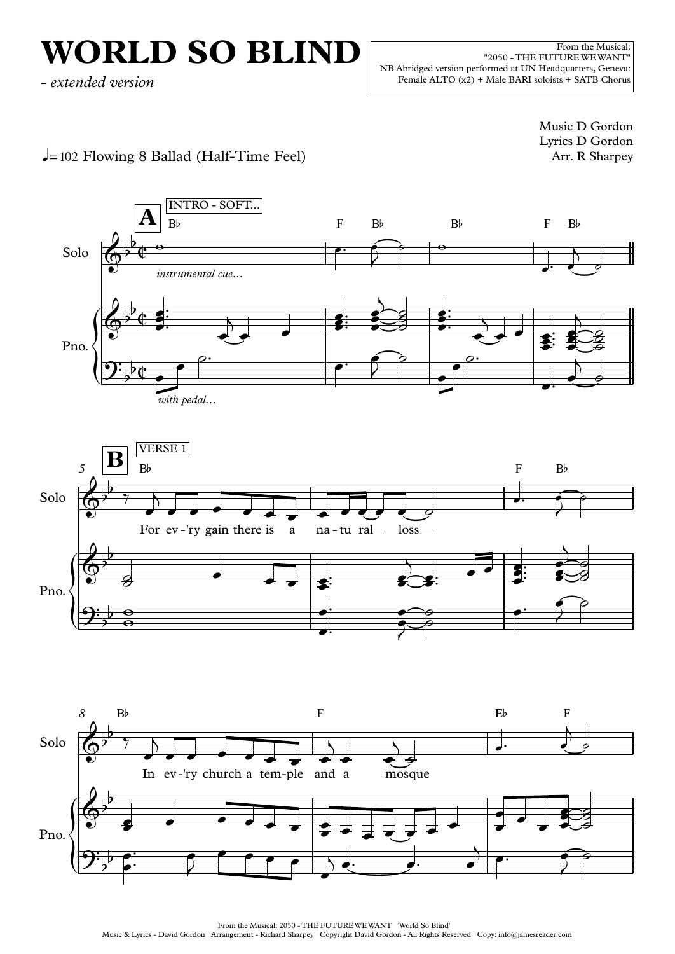## **WORLD SO BLIND**

From the Musical: "2050 - THE FUTUREWEWANT" NB Abridged version performed at UN Headquarters, Geneva: Female ALTO (x2) <sup>+</sup> Male BARI soloists <sup>+</sup> SATB Chorus *- extended version*

> Music D Gordon Lyrics D Gordon Arr. R Sharpey

 $\downarrow$ =102 Flowing 8 Ballad (Half-Time Feel)



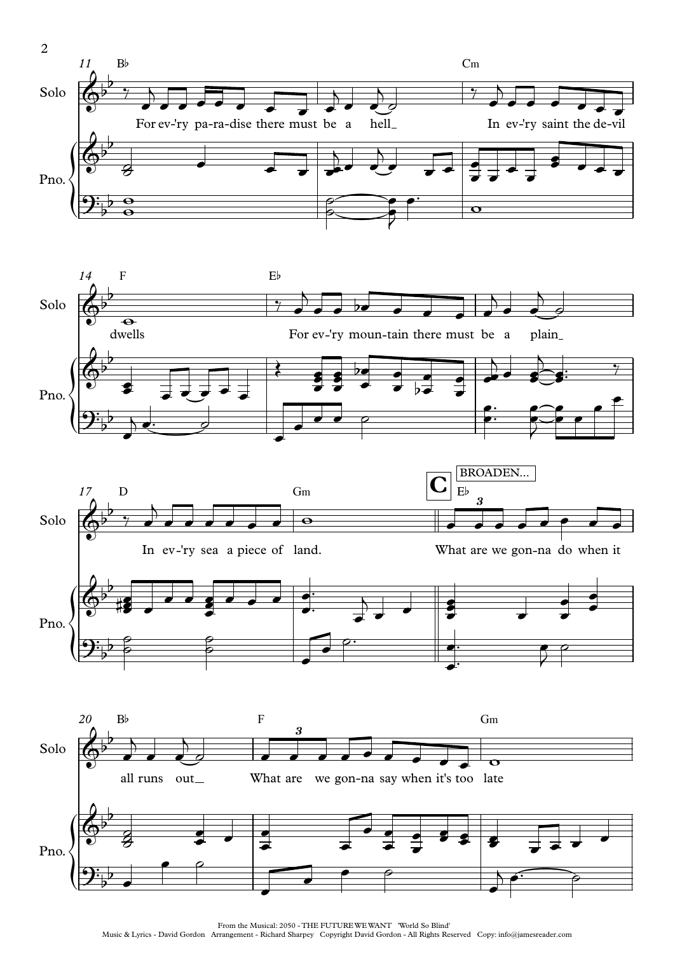





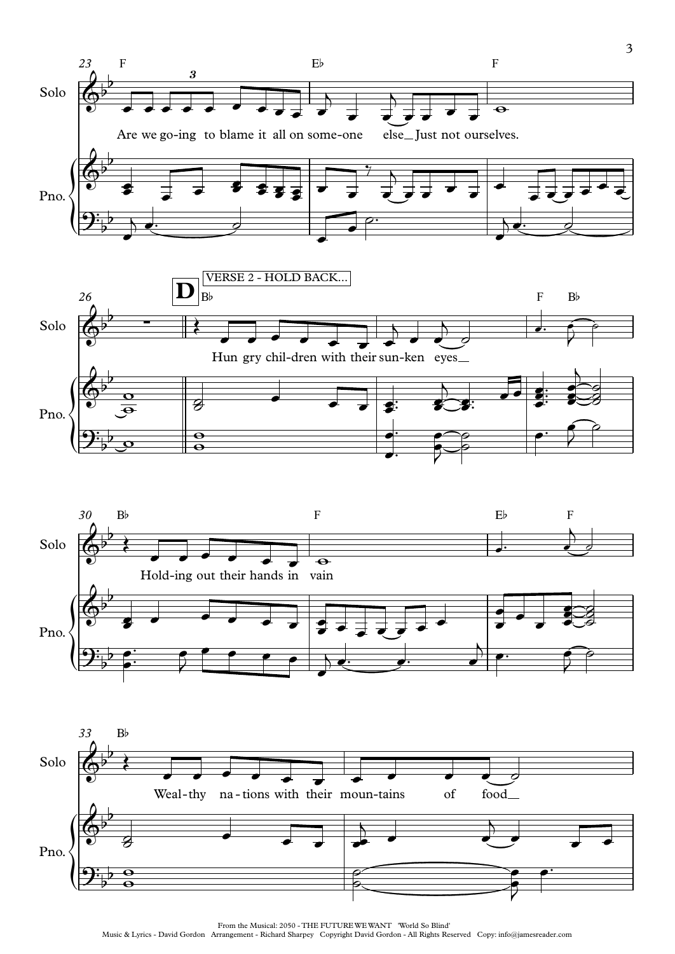





From the Musical: 2050 - THE FUTUREWEWANT 'World So Blind'

Music & Lyrics - David Gordon Arrangement - Richard Sharpey Copyright David Gordon - All Rights Reserved Copy: info@jamesreader.com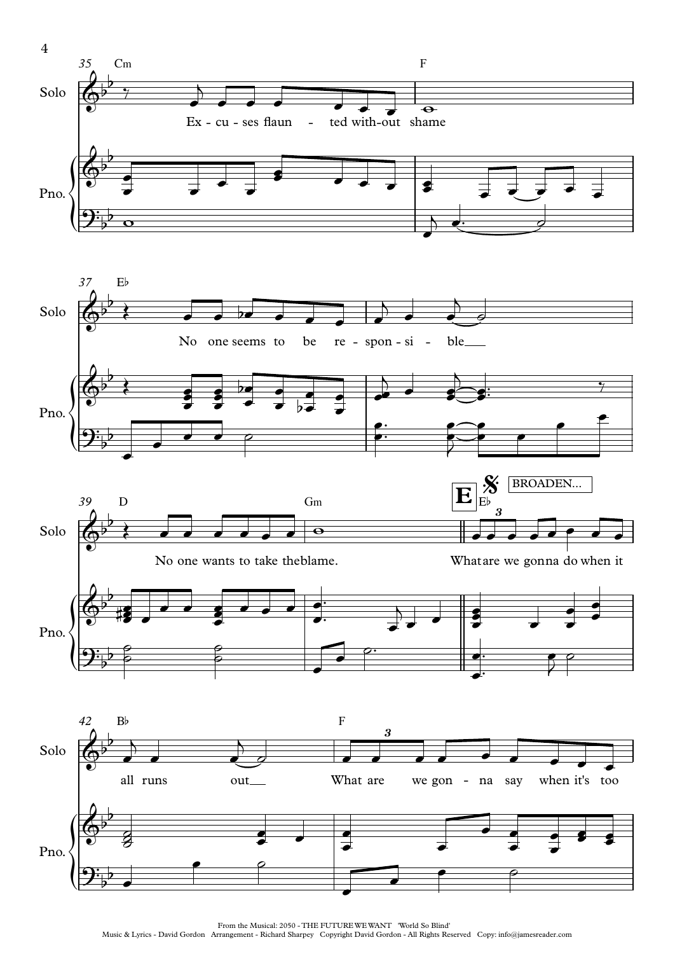

From the Musical: 2050 - THE FUTUREWEWANT 'World So Blind'

Music & Lyrics - David Gordon Arrangement - Richard Sharpey Copyright David Gordon - All Rights Reserved Copy: info@jamesreader.com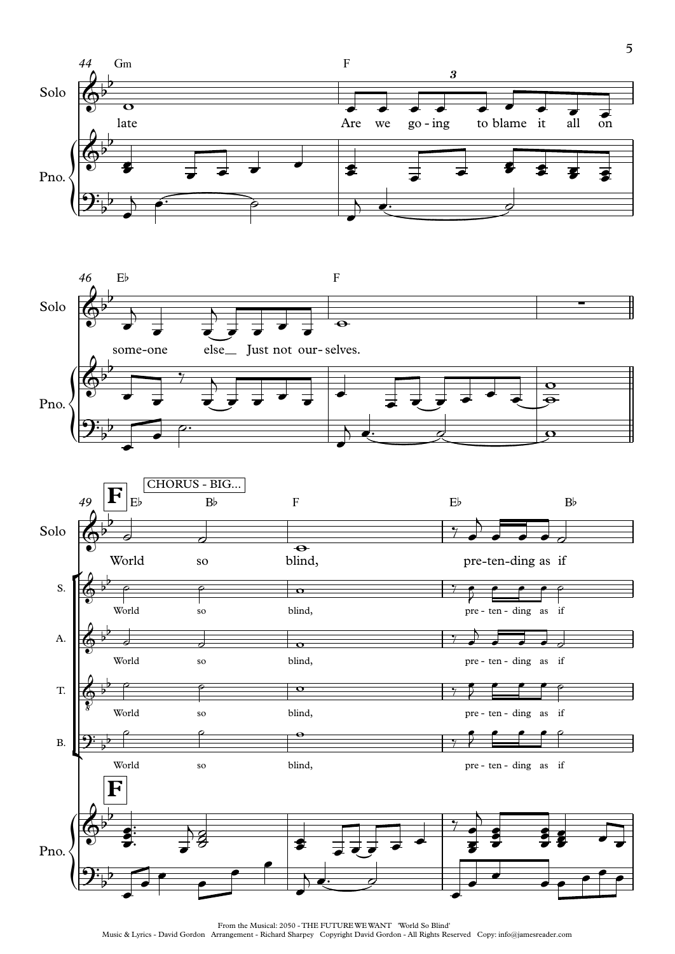



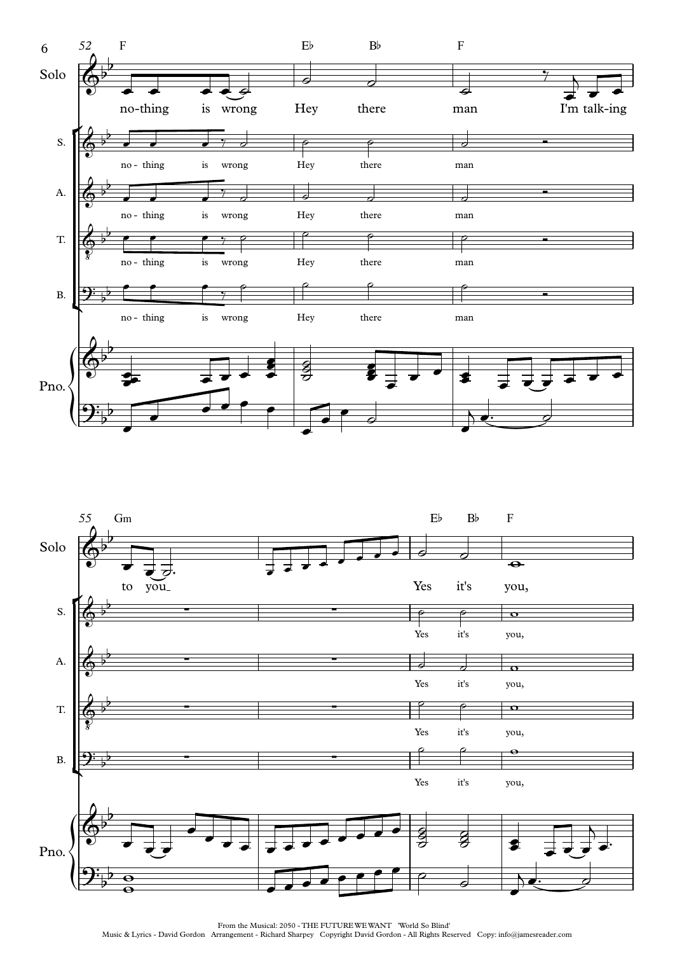

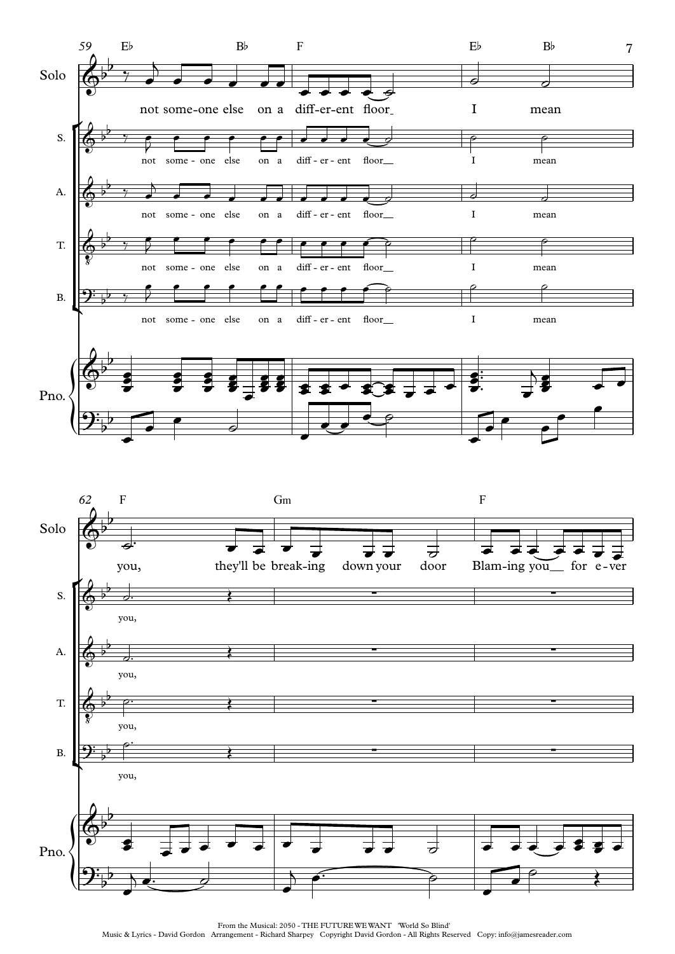

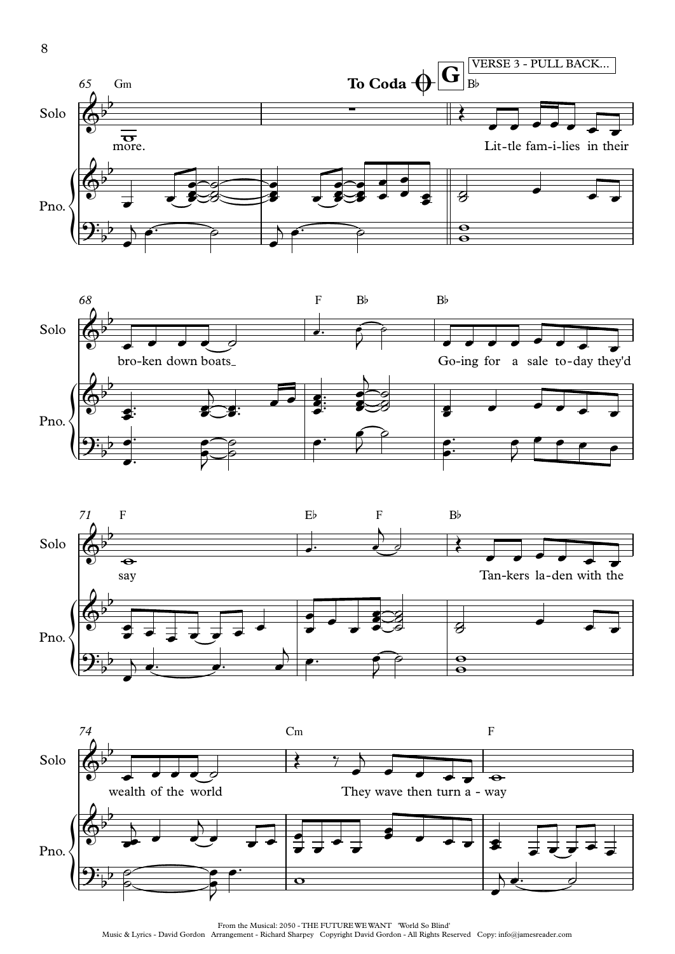







From the Musical: 2050 - THE FUTUREWEWANT 'World So Blind' Music & Lyrics - David Gordon Arrangement - Richard Sharpey Copyright David Gordon - All Rights Reserved Copy: info@jamesreader.com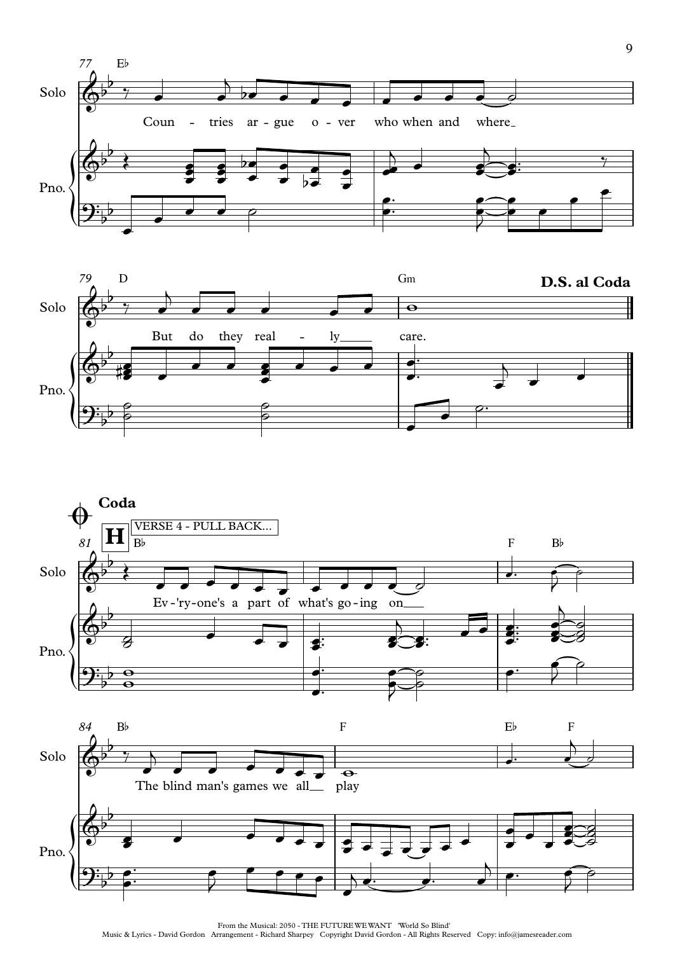







Music & Lyrics - David Gordon Arrangement - Richard Sharpey Copyright David Gordon - All Rights Reserved Copy: info@jamesreader.com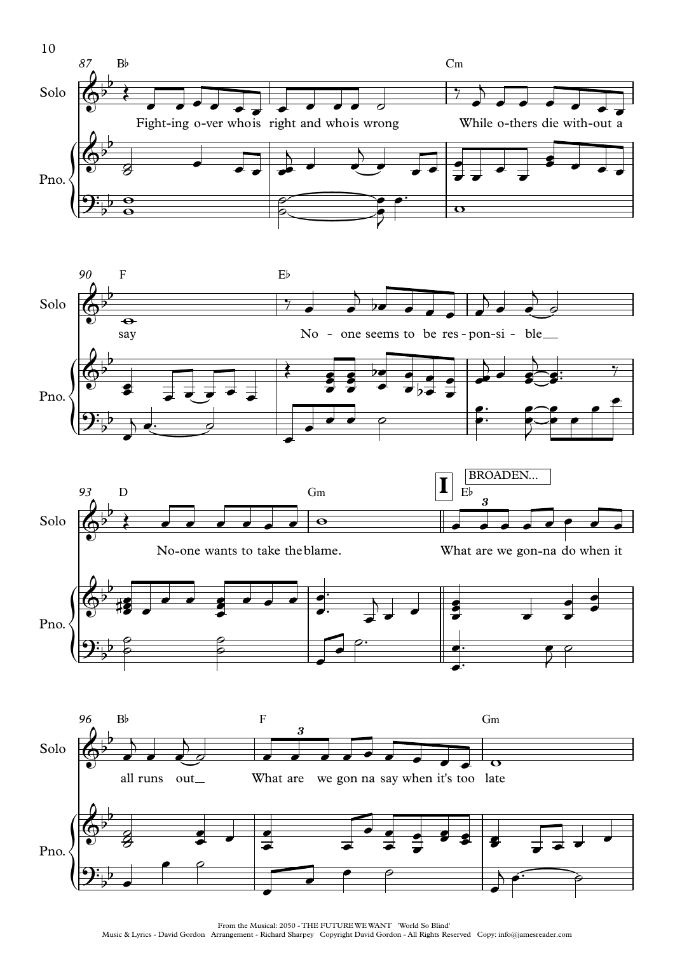





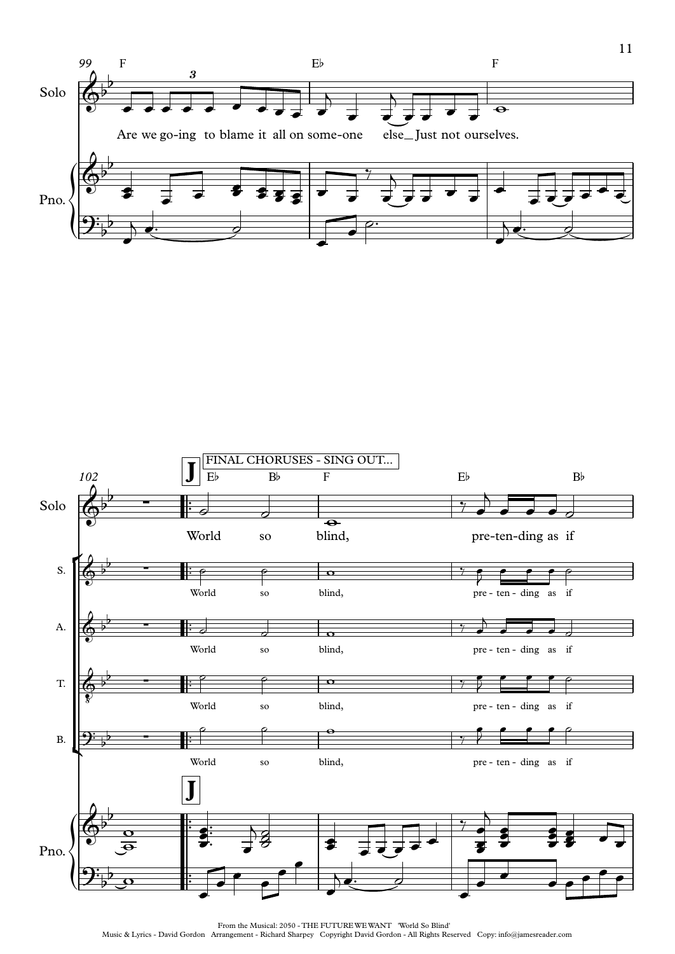



11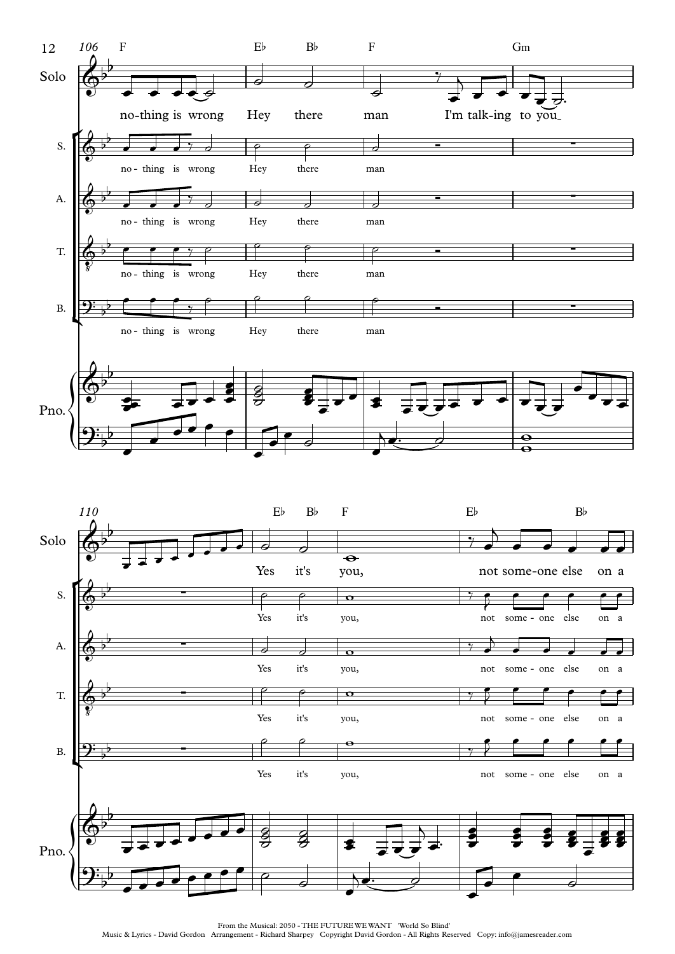



From the Musical: 2050 - THE FUTUREWEWANT 'World So Blind'

Music & Lyrics - David Gordon Arrangement - Richard Sharpey Copyright David Gordon - All Rights Reserved Copy: info@jamesreader.com